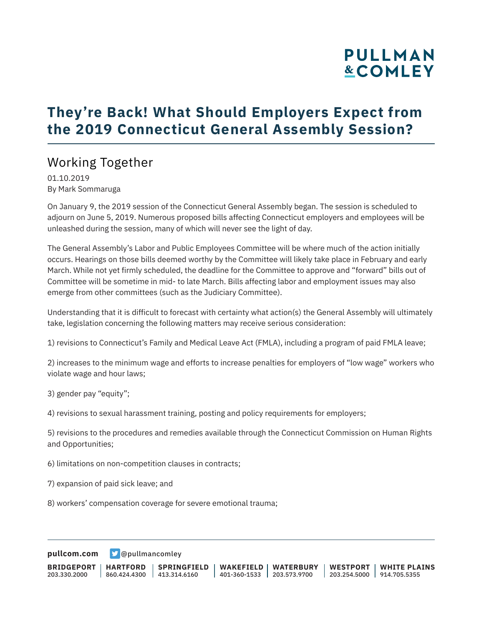# **PULLMAN &COMLEY**

## **They're Back! What Should Employers Expect from the 2019 Connecticut General Assembly Session?**

### Working Together

01.10.2019 By Mark Sommaruga

On January 9, the 2019 session of the Connecticut General Assembly began. The session is scheduled to adjourn on June 5, 2019. Numerous proposed bills affecting Connecticut employers and employees will be unleashed during the session, many of which will never see the light of day.

The General Assembly's Labor and Public Employees Committee will be where much of the action initially occurs. Hearings on those bills deemed worthy by the Committee will likely take place in February and early March. While not yet firmly scheduled, the deadline for the Committee to approve and "forward" bills out of Committee will be sometime in mid- to late March. Bills affecting labor and employment issues may also emerge from other committees (such as the Judiciary Committee).

Understanding that it is difficult to forecast with certainty what action(s) the General Assembly will ultimately take, legislation concerning the following matters may receive serious consideration:

1) revisions to Connecticut's Family and Medical Leave Act (FMLA), including a program of paid FMLA leave;

2) increases to the minimum wage and efforts to increase penalties for employers of "low wage" workers who violate wage and hour laws;

3) gender pay "equity";

4) revisions to sexual harassment training, posting and policy requirements for employers;

5) revisions to the procedures and remedies available through the Connecticut Commission on Human Rights and Opportunities;

6) limitations on non-competition clauses in contracts;

7) expansion of paid sick leave; and

8) workers' compensation coverage for severe emotional trauma;

**[pullcom.com](https://www.pullcom.com) g** [@pullmancomley](https://twitter.com/PullmanComley)

**BRIDGEPORT** 203.330.2000 **HARTFORD** 860.424.4300 413.314.6160 **SPRINGFIELD WAKEFIELD WATERBURY** 401-360-1533 203.573.9700 **WESTPORT WHITE PLAINS** 203.254.5000 914.705.5355